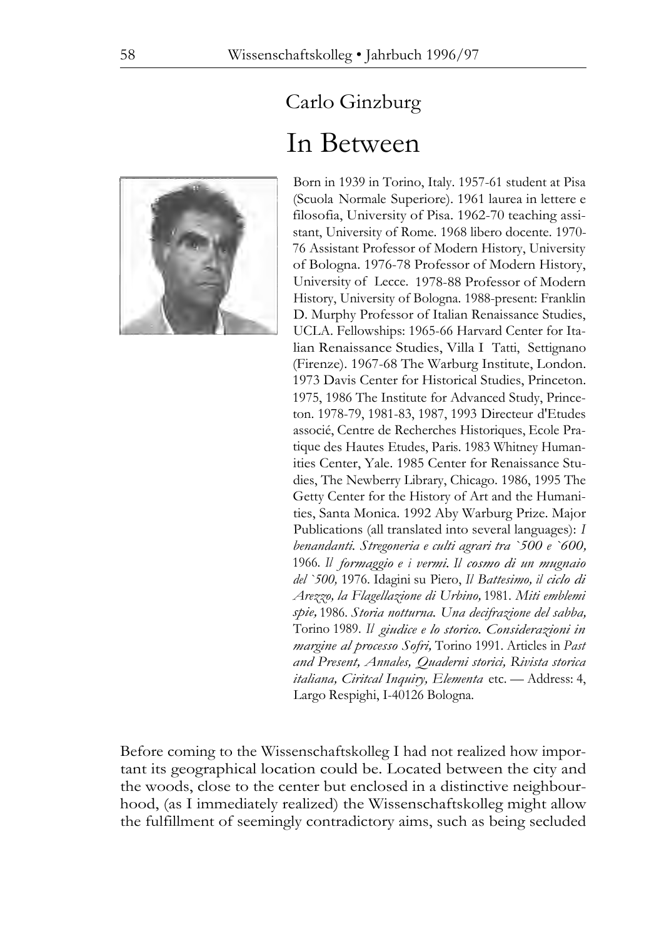

## Carlo Ginzburg In Between

Born in 1939 in Torino, Italy. 1957-61 student at Pisa (Scuola Normale Superiore). 1961 laurea in lettere e filosofia, University of Pisa. 1962-70 teaching assistant, University of Rome. 1968 libero docente. 1970- 76 Assistant Professor of Modern History, University of Bologna. 1976-78 Professor of Modern History, University of Lecce. 1978-88 Professor of Modern History, University of Bologna. 1988-present: Franklin D. Murphy Professor of Italian Renaissance Studies, UCLA. Fellowships: 1965-66 Harvard Center for Italian Renaissance Studies, Villa I Tatti, Settignano (Firenze). 1967-68 The Warburg Institute, London. 1973 Davis Center for Historical Studies, Princeton. 1975, 1986 The Institute for Advanced Study, Princeton. 1978-79, 1981-83, 1987, 1993 Directeur d'Etudes associé, Centre de Recherches Historiques, Ecole Pratique des Hautes Etudes, Paris. 1983 Whitney Humanities Center, Yale. 1985 Center for Renaissance Studies, The Newberry Library, Chicago. 1986, 1995 The Getty Center for the History of Art and the Humanities, Santa Monica. 1992 Aby Warburg Prize. Major Publications (all translated into several languages): *I benandanti. Stregoneria e culti agrari tra `500 e `600,*  1966. *Il formaggio e i vermi. Il cosmo di un mugnaio del `500,* 1976. Idagini su Piero, *Il Battesimo, il ciclo di Arezzo, la Flagellazione di Urbino,* 1981. *Miti emblemi spie,* 1986. *Storia notturna. Una decifrazione del sabba,*  Torino 1989. *Il giudice e lo storico. Considerazioni in margine al processo Sofri,* Torino 1991. Articles in *Past and Present, Annales, Quaderni storici, Rivista storica italiana, Ciritcal Inquiry, Elementa* etc. — Address: 4, Largo Respighi, I-40126 Bologna.

Before coming to the Wissenschaftskolleg I had not realized how important its geographical location could be. Located between the city and the woods, close to the center but enclosed in a distinctive neighbourhood, (as I immediately realized) the Wissenschaftskolleg might allow the fulfillment of seemingly contradictory aims, such as being secluded